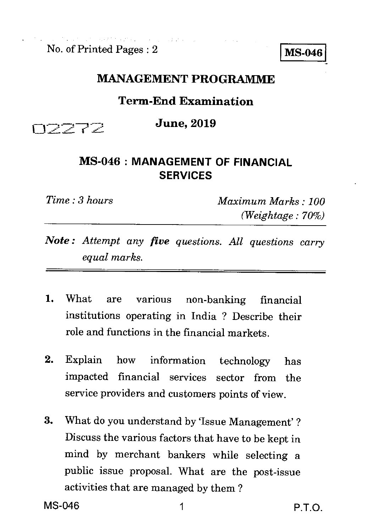No. of Printed Pages : 2 **MS-046** 

## **MANAGEMENT PROGRAMME**

## **Term-End Examination**

**June, 2019** 

## **MS-046 : MANAGEMENT OF FINANCIAL SERVICES**

ロフフアス

*Time : 3 hours Maximum Marks : 100 (Weightage : 70%)* 

- *Note : Attempt any five questions. All questions cany equal marks.*
- 1. What are various non-banking financial institutions operating in India ? Describe their role and functions in the financial markets.
- 2. Explain how information technology has impacted financial services sector from the service providers and customers points of view.
- 3. What do you understand by 'Issue Management' ? Discuss the various factors that have to be kept in mind by merchant bankers while selecting a public issue proposal. What are the post-issue activities that are managed by them ?

MS-046 1 P.T.O.